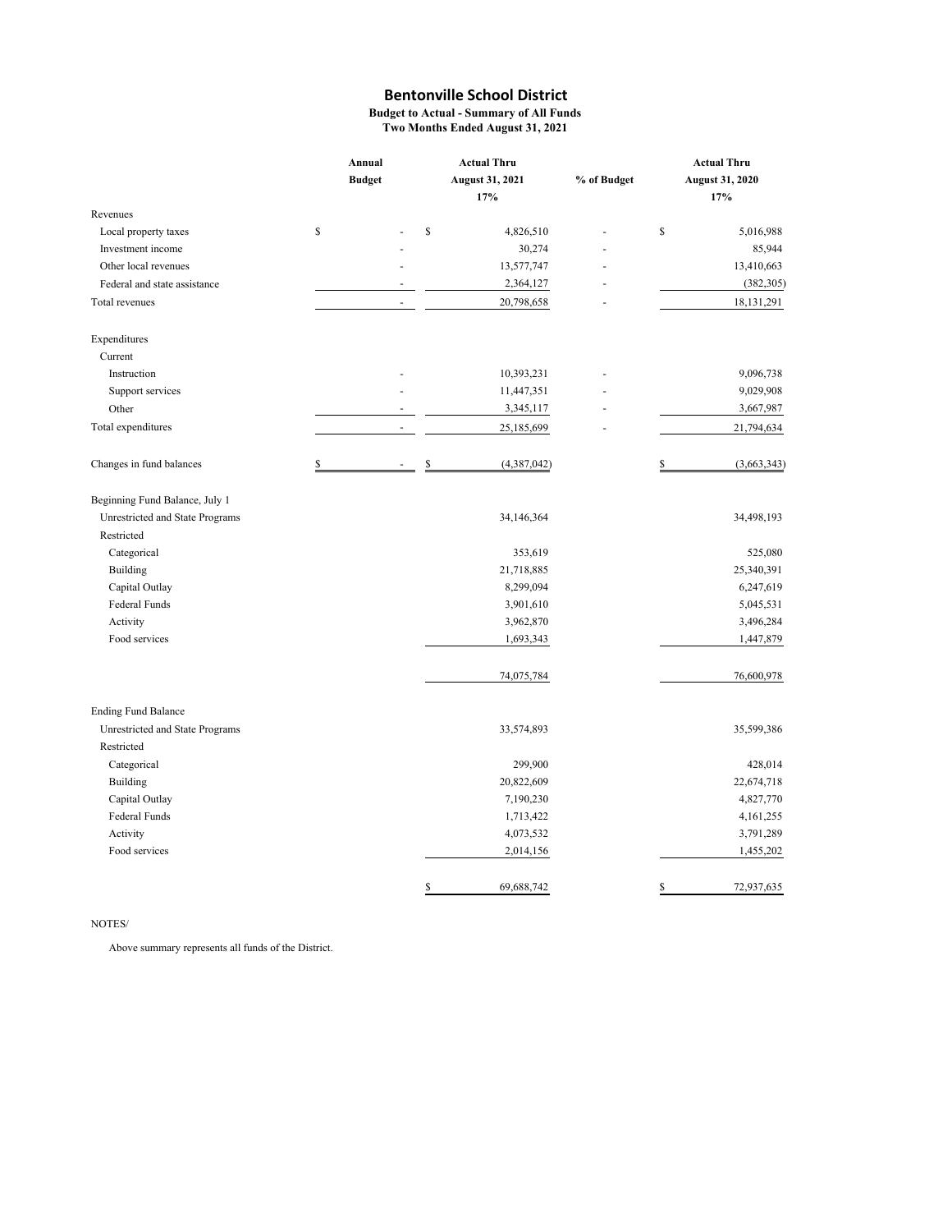**Budget to Actual - Summary of All Funds Two Months Ended August 31, 2021**

|                                 | Annual |               | <b>Actual Thru</b> |                        |             | <b>Actual Thru</b>     |  |  |
|---------------------------------|--------|---------------|--------------------|------------------------|-------------|------------------------|--|--|
|                                 |        | <b>Budget</b> |                    | <b>August 31, 2021</b> | % of Budget | <b>August 31, 2020</b> |  |  |
|                                 |        |               |                    | 17%                    |             | 17%                    |  |  |
| Revenues                        |        |               |                    |                        |             |                        |  |  |
| Local property taxes            | \$     |               | \$                 | 4,826,510              |             | \$<br>5,016,988        |  |  |
| Investment income               |        |               |                    | 30,274                 |             | 85,944                 |  |  |
| Other local revenues            |        |               |                    | 13,577,747             |             | 13,410,663             |  |  |
| Federal and state assistance    |        |               |                    | 2,364,127              |             | (382, 305)             |  |  |
| Total revenues                  |        |               |                    | 20,798,658             |             | 18, 131, 291           |  |  |
| Expenditures                    |        |               |                    |                        |             |                        |  |  |
| Current                         |        |               |                    |                        |             |                        |  |  |
| Instruction                     |        |               |                    | 10,393,231             |             | 9,096,738              |  |  |
| Support services                |        |               |                    | 11,447,351             |             | 9,029,908              |  |  |
| Other                           |        |               |                    | 3,345,117              |             | 3,667,987              |  |  |
| Total expenditures              |        | ä,            |                    | 25,185,699             |             | 21,794,634             |  |  |
| Changes in fund balances        | \$     |               | \$                 | (4,387,042)            |             | \$<br>(3,663,343)      |  |  |
| Beginning Fund Balance, July 1  |        |               |                    |                        |             |                        |  |  |
| Unrestricted and State Programs |        |               |                    | 34,146,364             |             | 34,498,193             |  |  |
| Restricted                      |        |               |                    |                        |             |                        |  |  |
| Categorical                     |        |               |                    | 353,619                |             | 525,080                |  |  |
| Building                        |        |               |                    | 21,718,885             |             | 25,340,391             |  |  |
| Capital Outlay                  |        |               |                    | 8,299,094              |             | 6,247,619              |  |  |
| <b>Federal Funds</b>            |        |               |                    | 3,901,610              |             | 5,045,531              |  |  |
| Activity                        |        |               |                    | 3,962,870              |             | 3,496,284              |  |  |
| Food services                   |        |               |                    | 1,693,343              |             | 1,447,879              |  |  |
|                                 |        |               |                    | 74,075,784             |             | 76,600,978             |  |  |
| <b>Ending Fund Balance</b>      |        |               |                    |                        |             |                        |  |  |
| Unrestricted and State Programs |        |               |                    | 33,574,893             |             | 35,599,386             |  |  |
| Restricted                      |        |               |                    |                        |             |                        |  |  |
| Categorical                     |        |               |                    | 299,900                |             | 428,014                |  |  |
| Building                        |        |               |                    | 20,822,609             |             | 22,674,718             |  |  |
| Capital Outlay                  |        |               |                    | 7,190,230              |             | 4,827,770              |  |  |
| Federal Funds                   |        |               |                    | 1,713,422              |             | 4,161,255              |  |  |
| Activity                        |        |               |                    | 4,073,532              |             | 3,791,289              |  |  |
| Food services                   |        |               |                    | 2,014,156              |             | 1,455,202              |  |  |
|                                 |        |               | \$                 | 69,688,742             |             | \$<br>72,937,635       |  |  |

#### NOTES/

Above summary represents all funds of the District.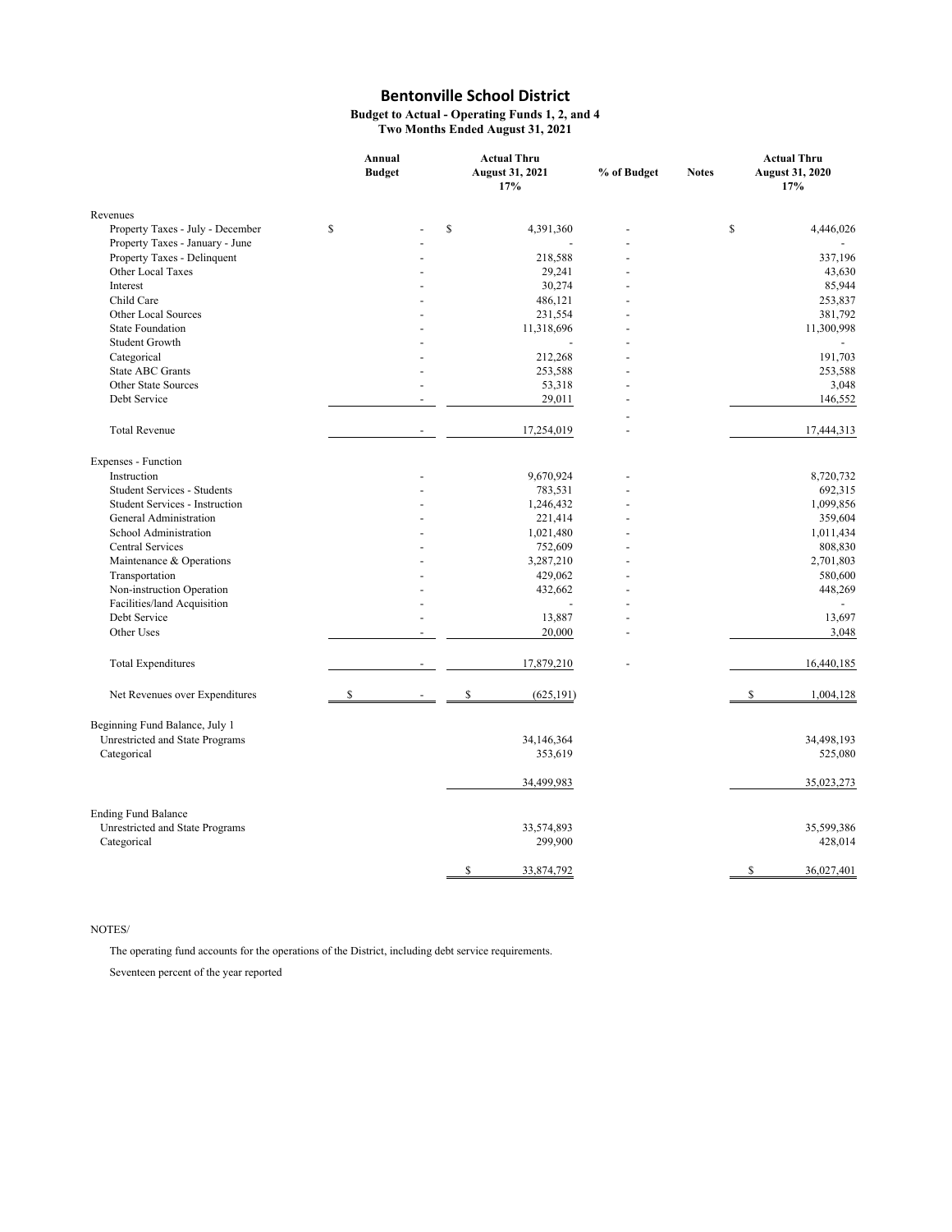**Budget to Actual - Operating Funds 1, 2, and 4 Two Months Ended August 31, 2021**

|                                    | Annual<br><b>Budget</b> |                |    | <b>Actual Thru</b><br><b>August 31, 2021</b><br>17% | % of Budget | <b>Notes</b> | <b>Actual Thru</b><br><b>August 31, 2020</b><br>17% |
|------------------------------------|-------------------------|----------------|----|-----------------------------------------------------|-------------|--------------|-----------------------------------------------------|
| Revenues                           |                         |                |    |                                                     |             |              |                                                     |
| Property Taxes - July - December   | \$                      |                | \$ | 4,391,360                                           |             | \$           | 4,446,026                                           |
| Property Taxes - January - June    |                         |                |    |                                                     |             |              |                                                     |
| Property Taxes - Delinquent        |                         |                |    | 218,588                                             |             |              | 337,196                                             |
| Other Local Taxes                  |                         |                |    | 29,241                                              |             |              | 43,630                                              |
| Interest                           |                         |                |    | 30,274                                              |             |              | 85,944                                              |
| Child Care                         |                         |                |    | 486,121                                             |             |              | 253,837                                             |
| Other Local Sources                |                         |                |    | 231,554                                             |             |              | 381,792                                             |
| <b>State Foundation</b>            |                         |                |    | 11,318,696                                          |             |              | 11,300,998                                          |
| Student Growth                     |                         |                |    |                                                     |             |              |                                                     |
| Categorical                        |                         |                |    | 212,268                                             |             |              | 191,703                                             |
| State ABC Grants                   |                         |                |    | 253,588                                             |             |              | 253,588                                             |
| Other State Sources                |                         |                |    | 53,318                                              |             |              | 3,048                                               |
| Debt Service                       |                         | ÷,             |    | 29,011                                              |             |              | 146,552                                             |
|                                    |                         |                |    |                                                     |             |              |                                                     |
| <b>Total Revenue</b>               |                         |                |    |                                                     |             |              |                                                     |
|                                    |                         |                |    | 17,254,019                                          |             |              | 17,444,313                                          |
| Expenses - Function                |                         |                |    |                                                     |             |              |                                                     |
| Instruction                        |                         |                |    | 9,670,924                                           |             |              | 8,720,732                                           |
| <b>Student Services - Students</b> |                         |                |    | 783,531                                             |             |              | 692,315                                             |
| Student Services - Instruction     |                         |                |    | 1,246,432                                           |             |              | 1,099,856                                           |
| General Administration             |                         |                |    | 221,414                                             |             |              | 359,604                                             |
| School Administration              |                         |                |    | 1,021,480                                           |             |              | 1,011,434                                           |
| Central Services                   |                         |                |    | 752,609                                             |             |              | 808,830                                             |
| Maintenance & Operations           |                         |                |    | 3,287,210                                           |             |              | 2,701,803                                           |
| Transportation                     |                         |                |    | 429,062                                             |             |              | 580,600                                             |
| Non-instruction Operation          |                         |                |    | 432,662                                             |             |              | 448,269                                             |
| Facilities/land Acquisition        |                         |                |    | $\overline{a}$                                      |             |              |                                                     |
| Debt Service                       |                         |                |    | 13,887                                              |             |              | 13,697                                              |
| Other Uses                         |                         | $\overline{a}$ |    | 20,000                                              | ÷,          |              | 3,048                                               |
| <b>Total Expenditures</b>          |                         |                |    | 17,879,210                                          |             |              | 16,440,185                                          |
| Net Revenues over Expenditures     | \$                      |                | \$ | (625, 191)                                          |             |              | \$<br>1,004,128                                     |
| Beginning Fund Balance, July 1     |                         |                |    |                                                     |             |              |                                                     |
| Unrestricted and State Programs    |                         |                |    | 34,146,364                                          |             |              | 34,498,193                                          |
| Categorical                        |                         |                |    | 353,619                                             |             |              | 525,080                                             |
|                                    |                         |                |    |                                                     |             |              |                                                     |
|                                    |                         |                |    | 34,499,983                                          |             |              | 35,023,273                                          |
| <b>Ending Fund Balance</b>         |                         |                |    |                                                     |             |              |                                                     |
| Unrestricted and State Programs    |                         |                |    | 33,574,893                                          |             |              | 35,599,386                                          |
| Categorical                        |                         |                |    | 299,900                                             |             |              | 428,014                                             |
|                                    |                         |                |    |                                                     |             |              |                                                     |
|                                    |                         |                | S  | 33,874,792                                          |             |              | <sup>\$</sup><br>36,027,401                         |

#### NOTES/

The operating fund accounts for the operations of the District, including debt service requirements.

Seventeen percent of the year reported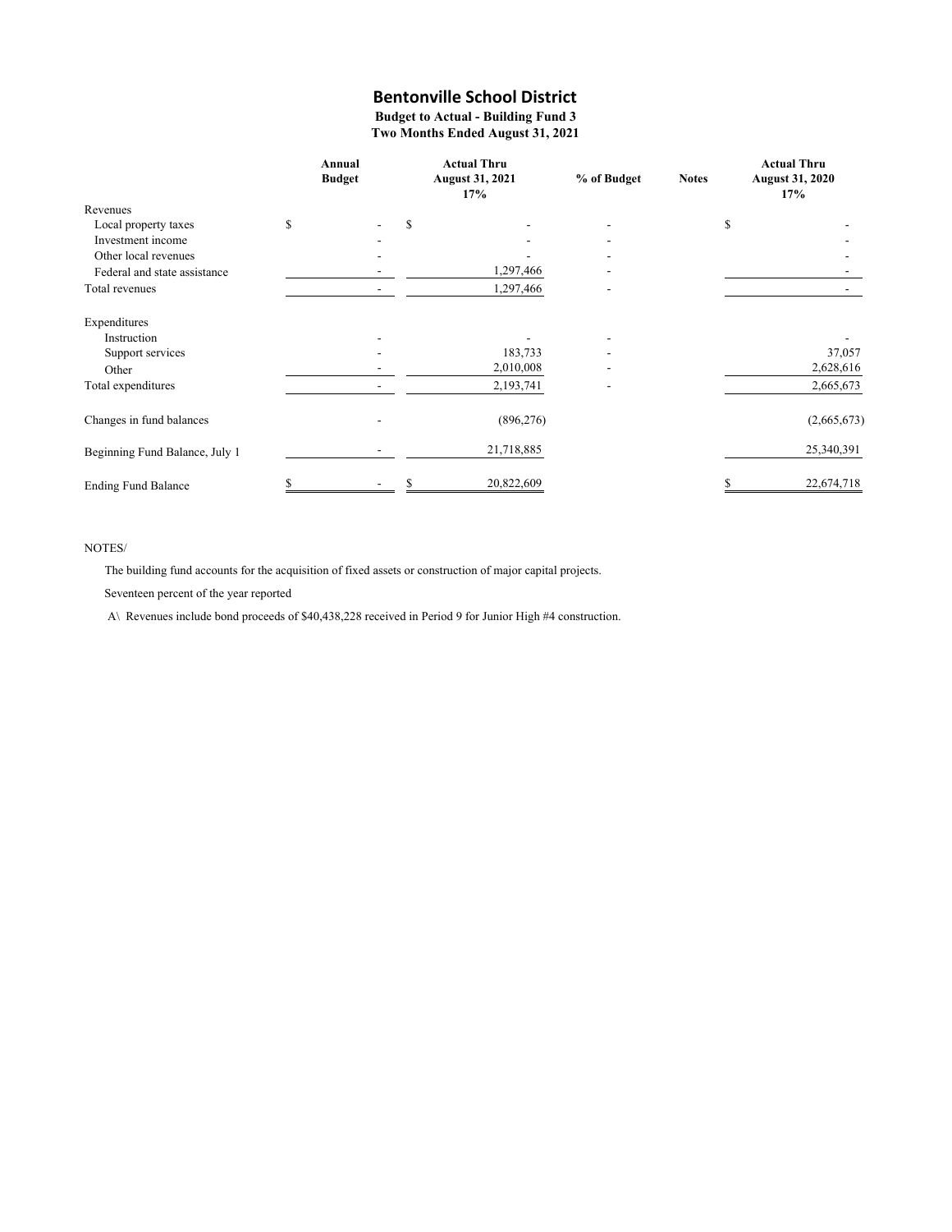### **Budget to Actual - Building Fund 3 Two Months Ended August 31, 2021**

|                                | Annual<br><b>Budget</b> |   | <b>Actual Thru</b><br><b>August 31, 2021</b><br>17% | % of Budget | <b>Notes</b> | <b>Actual Thru</b><br><b>August 31, 2020</b><br>17% |
|--------------------------------|-------------------------|---|-----------------------------------------------------|-------------|--------------|-----------------------------------------------------|
| Revenues                       |                         |   |                                                     |             |              |                                                     |
| Local property taxes           | \$                      | S |                                                     |             | \$           |                                                     |
| Investment income              |                         |   |                                                     |             |              |                                                     |
| Other local revenues           |                         |   |                                                     |             |              |                                                     |
| Federal and state assistance   |                         |   | 1,297,466                                           |             |              |                                                     |
| Total revenues                 |                         |   | 1,297,466                                           |             |              |                                                     |
| Expenditures                   |                         |   |                                                     |             |              |                                                     |
| Instruction                    |                         |   |                                                     |             |              |                                                     |
| Support services               |                         |   | 183,733                                             |             |              | 37,057                                              |
| Other                          |                         |   | 2,010,008                                           |             |              | 2,628,616                                           |
| Total expenditures             |                         |   | 2,193,741                                           |             |              | 2,665,673                                           |
| Changes in fund balances       |                         |   | (896, 276)                                          |             |              | (2,665,673)                                         |
| Beginning Fund Balance, July 1 |                         |   | 21,718,885                                          |             |              | 25,340,391                                          |
| <b>Ending Fund Balance</b>     |                         |   | 20,822,609                                          |             |              | 22,674,718                                          |

### NOTES/

The building fund accounts for the acquisition of fixed assets or construction of major capital projects.

Seventeen percent of the year reported

A\ Revenues include bond proceeds of \$40,438,228 received in Period 9 for Junior High #4 construction.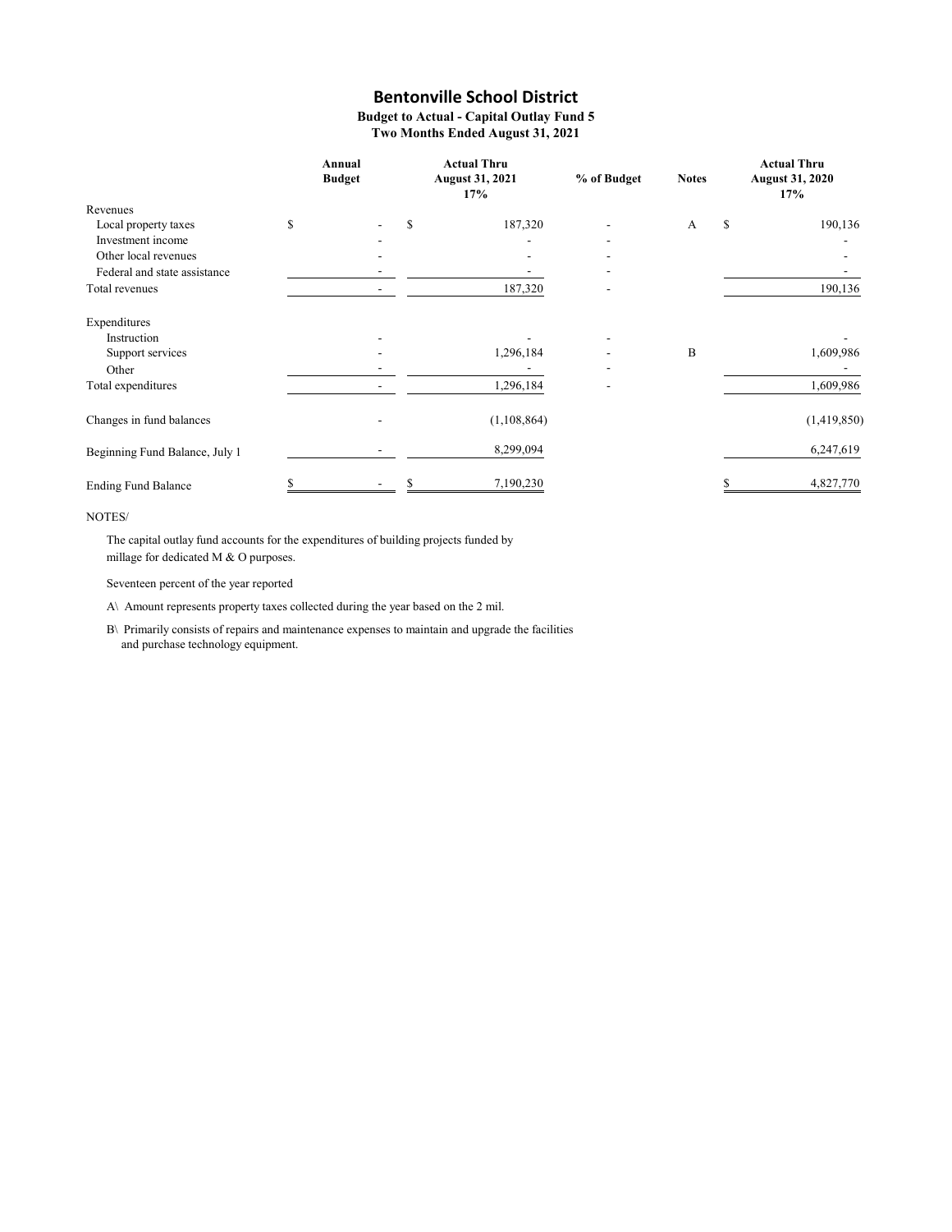**Budget to Actual - Capital Outlay Fund 5 Two Months Ended August 31, 2021**

|                                | Annual<br><b>Budget</b> |   | <b>Actual Thru</b><br><b>August 31, 2021</b><br>17% | % of Budget | <b>Notes</b> | <b>Actual Thru</b><br><b>August 31, 2020</b><br>17% |
|--------------------------------|-------------------------|---|-----------------------------------------------------|-------------|--------------|-----------------------------------------------------|
| Revenues                       |                         |   |                                                     |             |              |                                                     |
| Local property taxes           | \$                      | S | 187,320                                             |             | $\mathbf{A}$ | \$<br>190,136                                       |
| Investment income              |                         |   |                                                     |             |              |                                                     |
| Other local revenues           |                         |   |                                                     | ٠           |              |                                                     |
| Federal and state assistance   |                         |   |                                                     |             |              |                                                     |
| Total revenues                 |                         |   | 187,320                                             |             |              | 190,136                                             |
| Expenditures                   |                         |   |                                                     |             |              |                                                     |
| Instruction                    |                         |   |                                                     | ٠           |              |                                                     |
| Support services               |                         |   | 1,296,184                                           |             | B            | 1,609,986                                           |
| Other                          |                         |   |                                                     |             |              |                                                     |
| Total expenditures             |                         |   | 1,296,184                                           |             |              | 1,609,986                                           |
| Changes in fund balances       |                         |   | (1,108,864)                                         |             |              | (1,419,850)                                         |
| Beginning Fund Balance, July 1 |                         |   | 8,299,094                                           |             |              | 6,247,619                                           |
| <b>Ending Fund Balance</b>     |                         |   | 7,190,230                                           |             |              | 4,827,770                                           |

#### NOTES/

The capital outlay fund accounts for the expenditures of building projects funded by millage for dedicated M & O purposes.

Seventeen percent of the year reported

A\ Amount represents property taxes collected during the year based on the 2 mil.

B\ Primarily consists of repairs and maintenance expenses to maintain and upgrade the facilities and purchase technology equipment.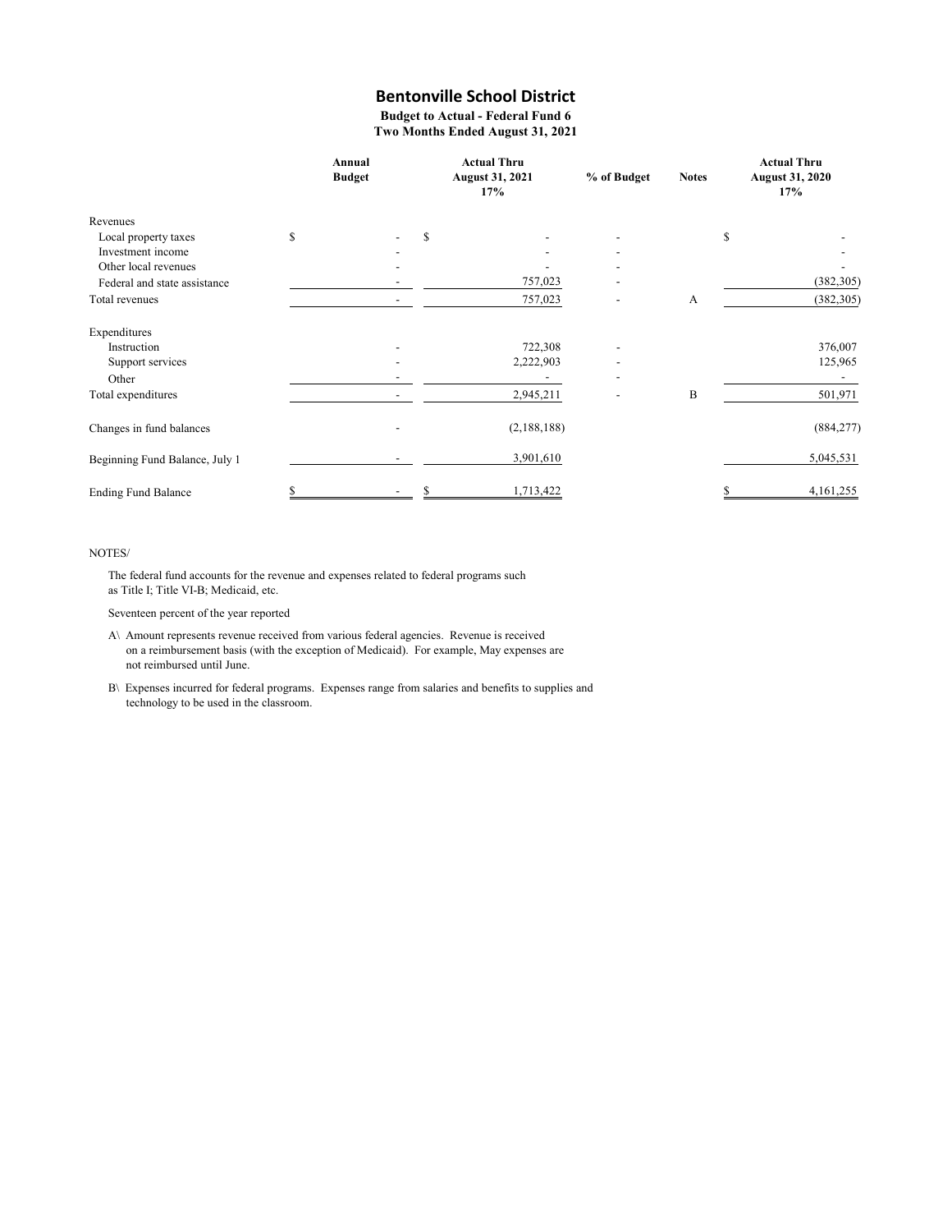**Budget to Actual - Federal Fund 6 Two Months Ended August 31, 2021**

|                                | Annual<br><b>Budget</b>  |   | <b>Actual Thru</b><br><b>August 31, 2021</b><br>17% | % of Budget              | <b>Notes</b> | <b>Actual Thru</b><br><b>August 31, 2020</b><br>17% |
|--------------------------------|--------------------------|---|-----------------------------------------------------|--------------------------|--------------|-----------------------------------------------------|
| Revenues                       |                          |   |                                                     |                          |              |                                                     |
| Local property taxes           | \$                       | S |                                                     |                          |              | \$                                                  |
| Investment income              |                          |   |                                                     |                          |              |                                                     |
| Other local revenues           |                          |   |                                                     |                          |              |                                                     |
| Federal and state assistance   |                          |   | 757,023                                             |                          |              | (382, 305)                                          |
| Total revenues                 | $\overline{\phantom{0}}$ |   | 757,023                                             |                          | А            | (382, 305)                                          |
| Expenditures                   |                          |   |                                                     |                          |              |                                                     |
| Instruction                    |                          |   | 722,308                                             |                          |              | 376,007                                             |
| Support services               |                          |   | 2,222,903                                           |                          |              | 125,965                                             |
| Other                          |                          |   |                                                     | $\overline{\phantom{a}}$ |              |                                                     |
| Total expenditures             | $\overline{\phantom{a}}$ |   | 2,945,211                                           | $\overline{\phantom{a}}$ | B            | 501,971                                             |
| Changes in fund balances       |                          |   | (2,188,188)                                         |                          |              | (884, 277)                                          |
| Beginning Fund Balance, July 1 |                          |   | 3,901,610                                           |                          |              | 5,045,531                                           |
| <b>Ending Fund Balance</b>     | \$                       |   | 1,713,422                                           |                          |              | 4,161,255                                           |

#### NOTES/

The federal fund accounts for the revenue and expenses related to federal programs such as Title I; Title VI-B; Medicaid, etc.

Seventeen percent of the year reported

- A\ Amount represents revenue received from various federal agencies. Revenue is received on a reimbursement basis (with the exception of Medicaid). For example, May expenses are not reimbursed until June.
- B\ Expenses incurred for federal programs. Expenses range from salaries and benefits to supplies and technology to be used in the classroom.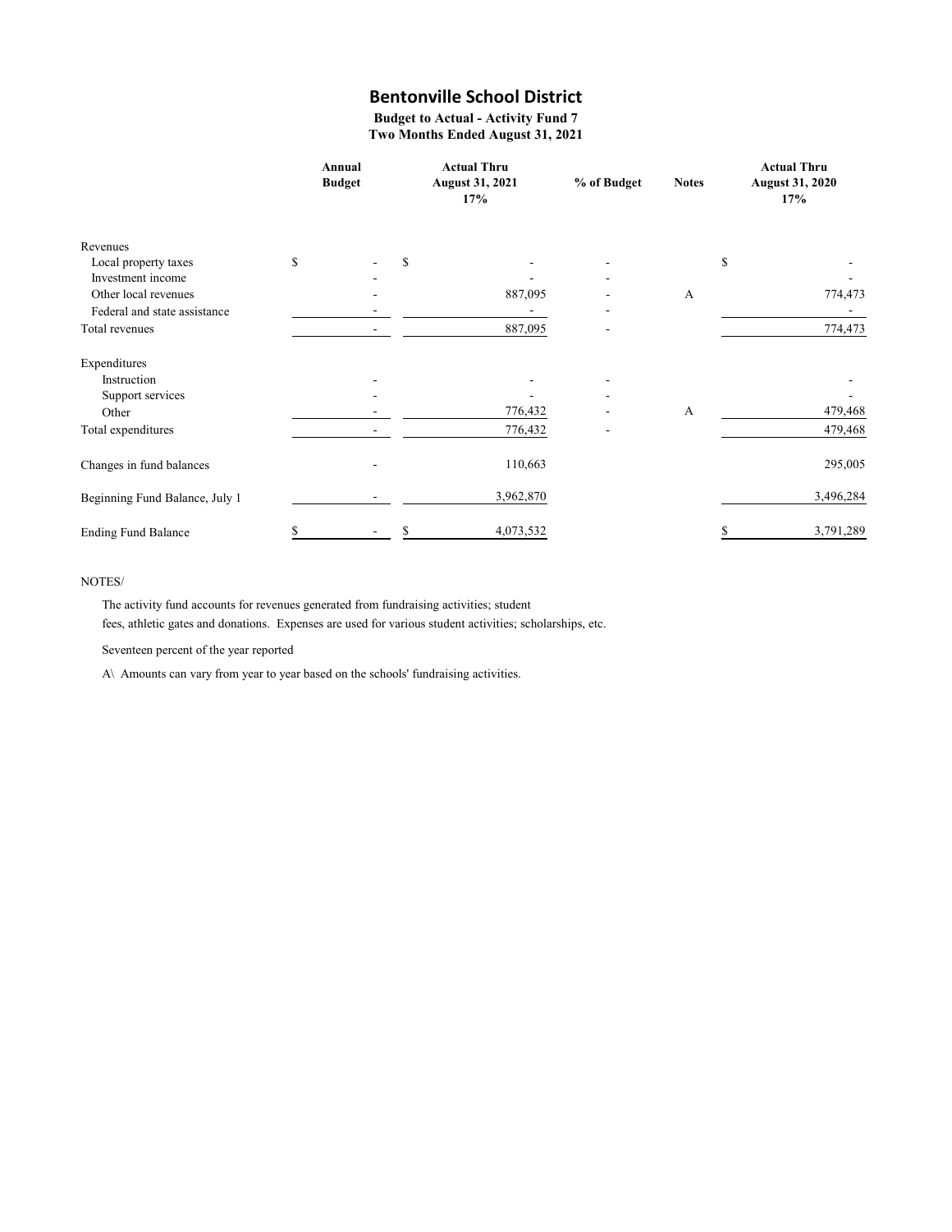**Budget to Actual - Activity Fund 7 Two Months Ended August 31, 2021**

|                                | Annual<br><b>Budget</b> |  |   | <b>Actual Thru</b><br><b>August 31, 2021</b><br>17% | % of Budget | <b>Notes</b> | <b>Actual Thru</b><br><b>August 31, 2020</b><br>17% |  |
|--------------------------------|-------------------------|--|---|-----------------------------------------------------|-------------|--------------|-----------------------------------------------------|--|
| Revenues                       |                         |  |   |                                                     |             |              |                                                     |  |
| Local property taxes           | \$                      |  | S |                                                     |             |              | \$                                                  |  |
| Investment income              |                         |  |   |                                                     |             |              |                                                     |  |
| Other local revenues           |                         |  |   | 887,095                                             |             | A            | 774,473                                             |  |
| Federal and state assistance   |                         |  |   |                                                     |             |              |                                                     |  |
| Total revenues                 |                         |  |   | 887,095                                             |             |              | 774,473                                             |  |
| Expenditures                   |                         |  |   |                                                     |             |              |                                                     |  |
| Instruction                    |                         |  |   |                                                     |             |              |                                                     |  |
| Support services               |                         |  |   |                                                     |             |              |                                                     |  |
| Other                          |                         |  |   | 776,432                                             |             | A            | 479,468                                             |  |
| Total expenditures             |                         |  |   | 776,432                                             |             |              | 479,468                                             |  |
| Changes in fund balances       |                         |  |   | 110,663                                             |             |              | 295,005                                             |  |
| Beginning Fund Balance, July 1 |                         |  |   | 3,962,870                                           |             |              | 3,496,284                                           |  |
| <b>Ending Fund Balance</b>     | \$                      |  | S | 4,073,532                                           |             |              | 3,791,289<br>S                                      |  |

### NOTES/

The activity fund accounts for revenues generated from fundraising activities; student fees, athletic gates and donations. Expenses are used for various student activities; scholarships, etc.

Seventeen percent of the year reported

A\ Amounts can vary from year to year based on the schools' fundraising activities.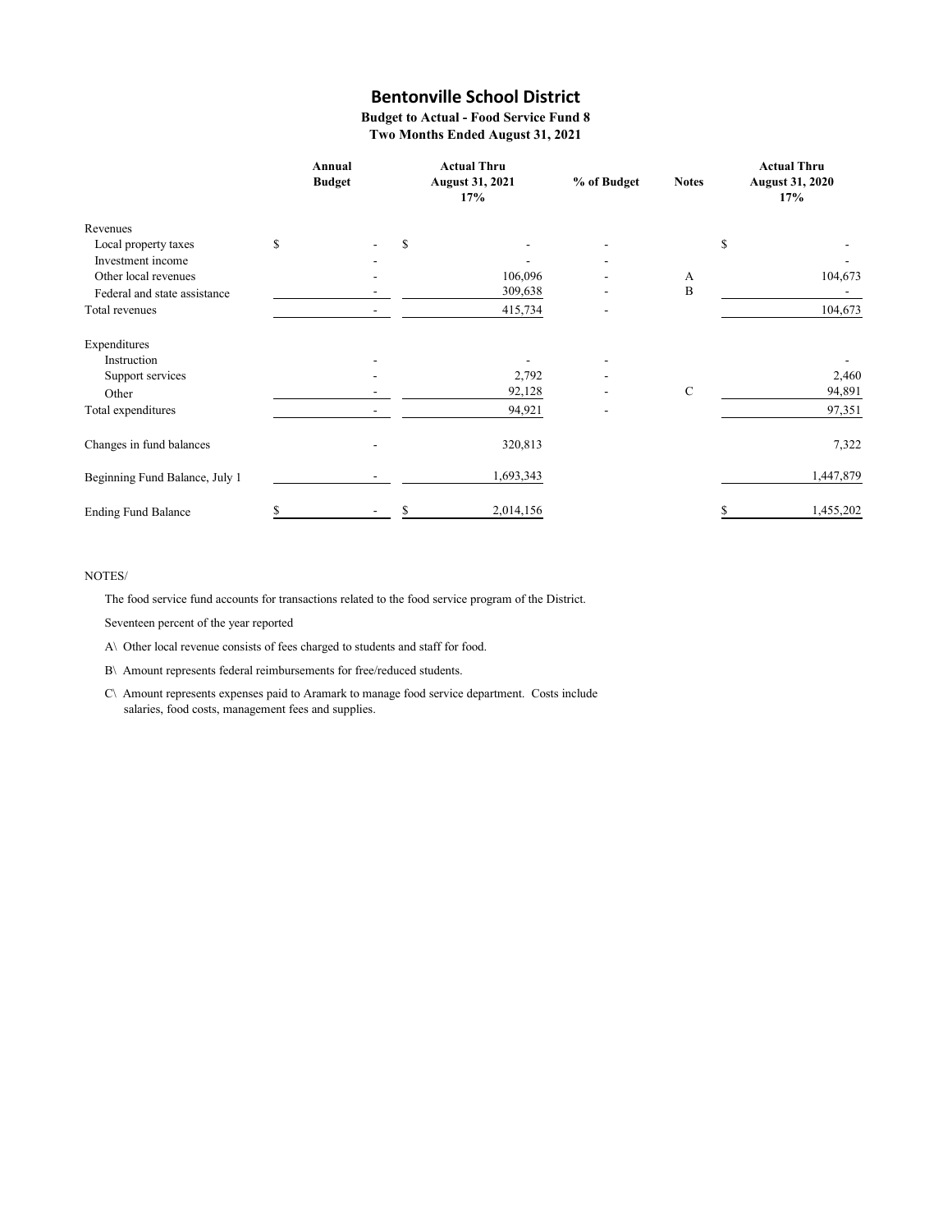**Budget to Actual - Food Service Fund 8 Two Months Ended August 31, 2021**

|                                |    | Annual<br><b>Budget</b> | <b>Actual Thru</b><br><b>August 31, 2021</b><br>17% | % of Budget | <b>Notes</b> | <b>Actual Thru</b><br><b>August 31, 2020</b><br>17% |
|--------------------------------|----|-------------------------|-----------------------------------------------------|-------------|--------------|-----------------------------------------------------|
| Revenues                       |    |                         |                                                     |             |              |                                                     |
| Local property taxes           | \$ |                         | \$                                                  |             |              | \$                                                  |
| Investment income              |    |                         |                                                     |             |              |                                                     |
| Other local revenues           |    |                         | 106,096                                             |             | А            | 104,673                                             |
| Federal and state assistance   |    |                         | 309,638                                             |             | B            |                                                     |
| Total revenues                 |    |                         | 415,734                                             |             |              | 104,673                                             |
| Expenditures                   |    |                         |                                                     |             |              |                                                     |
| Instruction                    |    |                         |                                                     |             |              |                                                     |
| Support services               |    |                         | 2,792                                               |             |              | 2,460                                               |
| Other                          |    |                         | 92,128                                              |             | $\mathbf C$  | 94,891                                              |
| Total expenditures             |    |                         | 94,921                                              |             |              | 97,351                                              |
| Changes in fund balances       |    |                         | 320,813                                             |             |              | 7,322                                               |
| Beginning Fund Balance, July 1 |    |                         | 1,693,343                                           |             |              | 1,447,879                                           |
| <b>Ending Fund Balance</b>     | S  |                         | 2,014,156                                           |             |              | 1,455,202                                           |

### NOTES/

The food service fund accounts for transactions related to the food service program of the District.

Seventeen percent of the year reported

A\ Other local revenue consists of fees charged to students and staff for food.

B\ Amount represents federal reimbursements for free/reduced students.

C\ Amount represents expenses paid to Aramark to manage food service department. Costs include salaries, food costs, management fees and supplies.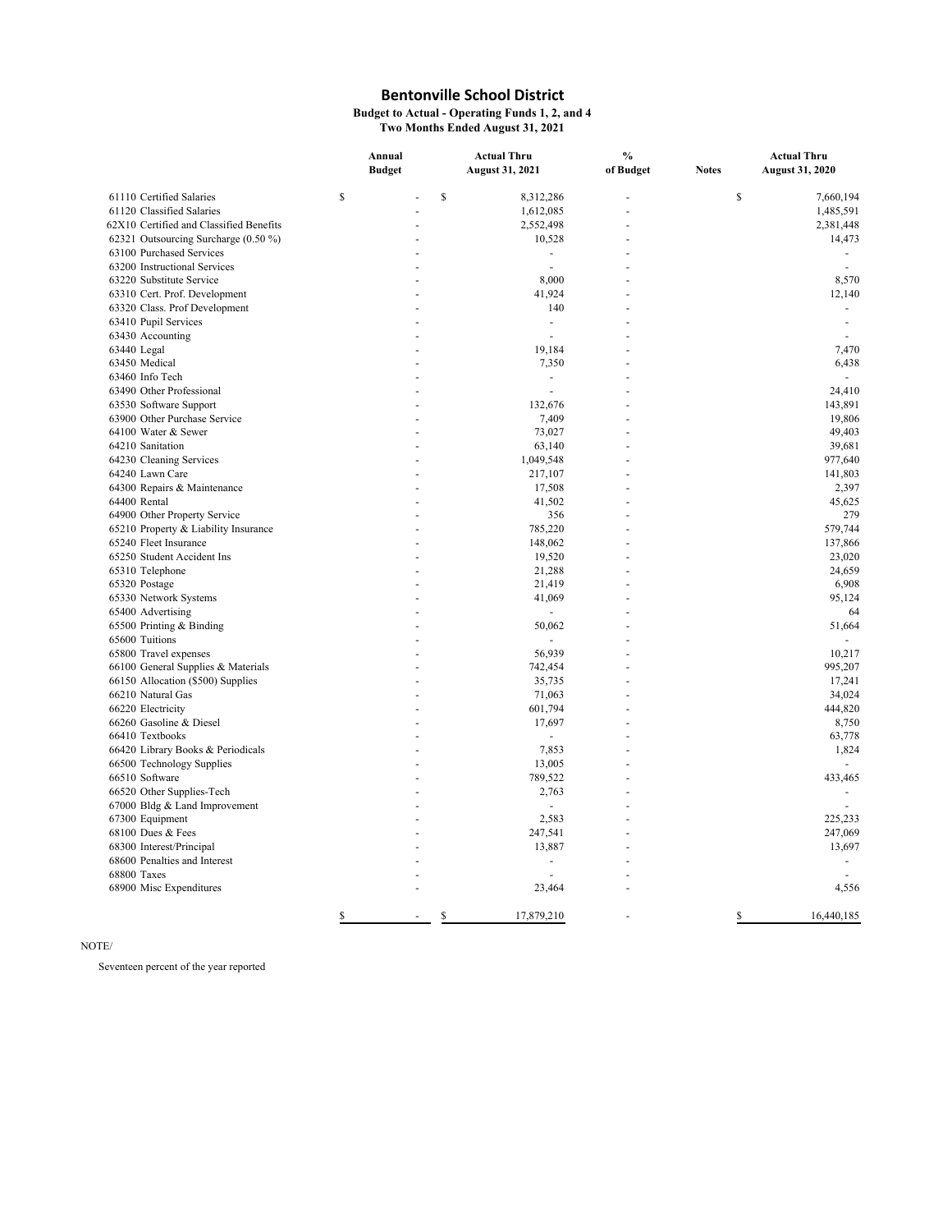**Budget to Actual - Operating Funds 1, 2, and 4 Two Months Ended August 31, 2021**

|                                         | Annual        | <b>Actual Thru</b> |                          | $\frac{0}{0}$ |              | <b>Actual Thru</b>       |  |
|-----------------------------------------|---------------|--------------------|--------------------------|---------------|--------------|--------------------------|--|
|                                         | <b>Budget</b> |                    | <b>August 31, 2021</b>   | of Budget     | <b>Notes</b> | <b>August 31, 2020</b>   |  |
| 61110 Certified Salaries                | \$            | \$                 | 8,312,286                | L.            | \$           | 7,660,194                |  |
| 61120 Classified Salaries               |               |                    | 1,612,085                | ÷.            |              | 1,485,591                |  |
| 62X10 Certified and Classified Benefits |               |                    | 2,552,498                |               |              | 2,381,448                |  |
| 62321 Outsourcing Surcharge (0.50 %)    |               |                    | 10,528                   |               |              | 14,473                   |  |
| 63100 Purchased Services                |               |                    | ÷,                       |               |              |                          |  |
| 63200 Instructional Services            |               |                    |                          |               |              | $\overline{\phantom{a}}$ |  |
| 63220 Substitute Service                |               |                    | 8,000                    |               |              | 8,570                    |  |
| 63310 Cert. Prof. Development           |               |                    | 41,924                   |               |              | 12,140                   |  |
| 63320 Class. Prof Development           |               |                    | 140                      |               |              |                          |  |
| 63410 Pupil Services                    |               |                    |                          |               |              | $\overline{\phantom{a}}$ |  |
|                                         |               |                    | $\overline{\phantom{a}}$ |               |              |                          |  |
| 63430 Accounting<br>63440 Legal         |               |                    | 19,184                   |               |              | 7,470                    |  |
|                                         |               |                    |                          |               |              | 6,438                    |  |
| 63450 Medical                           |               |                    | 7,350                    |               |              |                          |  |
| 63460 Info Tech                         |               |                    | $\sim$                   |               |              |                          |  |
| 63490 Other Professional                |               |                    |                          |               |              | 24,410                   |  |
| 63530 Software Support                  |               |                    | 132,676                  |               |              | 143,891                  |  |
| 63900 Other Purchase Service            |               |                    | 7,409                    |               |              | 19,806                   |  |
| 64100 Water & Sewer                     |               |                    | 73,027                   |               |              | 49,403                   |  |
| 64210 Sanitation                        |               |                    | 63,140                   |               |              | 39,681                   |  |
| 64230 Cleaning Services                 |               |                    | 1,049,548                |               |              | 977,640                  |  |
| 64240 Lawn Care                         |               |                    | 217,107                  |               |              | 141,803                  |  |
| 64300 Repairs & Maintenance             |               |                    | 17,508                   |               |              | 2,397                    |  |
| 64400 Rental                            |               |                    | 41,502                   |               |              | 45,625                   |  |
| 64900 Other Property Service            |               |                    | 356                      |               |              | 279                      |  |
| 65210 Property & Liability Insurance    |               |                    | 785,220                  |               |              | 579,744                  |  |
| 65240 Fleet Insurance                   |               |                    | 148,062                  |               |              | 137,866                  |  |
| 65250 Student Accident Ins              |               |                    | 19,520                   |               |              | 23,020                   |  |
| 65310 Telephone                         |               |                    | 21,288                   |               |              | 24,659                   |  |
| 65320 Postage                           |               |                    | 21,419                   |               |              | 6,908                    |  |
| 65330 Network Systems                   |               |                    | 41,069                   |               |              | 95,124                   |  |
| 65400 Advertising                       |               |                    | $\sim$                   |               |              | 64                       |  |
| 65500 Printing & Binding                |               |                    | 50,062                   |               |              | 51,664                   |  |
| 65600 Tuitions                          |               |                    |                          |               |              |                          |  |
| 65800 Travel expenses                   |               |                    | 56,939                   |               |              | 10,217                   |  |
| 66100 General Supplies & Materials      |               |                    | 742,454                  |               |              | 995,207                  |  |
| 66150 Allocation (\$500) Supplies       |               |                    | 35,735                   |               |              | 17,241                   |  |
| 66210 Natural Gas                       |               |                    | 71,063                   |               |              | 34,024                   |  |
| 66220 Electricity                       |               |                    | 601,794                  |               |              | 444,820                  |  |
| 66260 Gasoline & Diesel                 |               |                    | 17,697                   |               |              | 8,750                    |  |
| 66410 Textbooks                         |               |                    |                          |               |              | 63,778                   |  |
| 66420 Library Books & Periodicals       |               |                    | 7,853                    |               |              | 1,824                    |  |
| 66500 Technology Supplies               |               |                    | 13,005                   |               |              |                          |  |
| 66510 Software                          |               |                    | 789,522                  |               |              | 433,465                  |  |
| 66520 Other Supplies-Tech               |               |                    | 2,763                    |               |              |                          |  |
| 67000 Bldg & Land Improvement           |               |                    | ä,                       |               |              |                          |  |
| 67300 Equipment                         |               |                    | 2,583                    |               |              | 225,233                  |  |
| 68100 Dues & Fees                       |               |                    | 247,541                  |               |              | 247,069                  |  |
| 68300 Interest/Principal                |               |                    | 13,887                   |               |              | 13,697                   |  |
| 68600 Penalties and Interest            |               |                    | $\sim$                   |               |              |                          |  |
| 68800 Taxes                             |               |                    | ÷.                       |               |              |                          |  |
| 68900 Misc Expenditures                 |               |                    | 23,464                   |               |              | 4,556                    |  |
|                                         | \$            | $\mathbb{S}$       | 17,879,210               |               | $\mathbb{S}$ | 16,440,185               |  |

### NOTE/

Seventeen percent of the year reported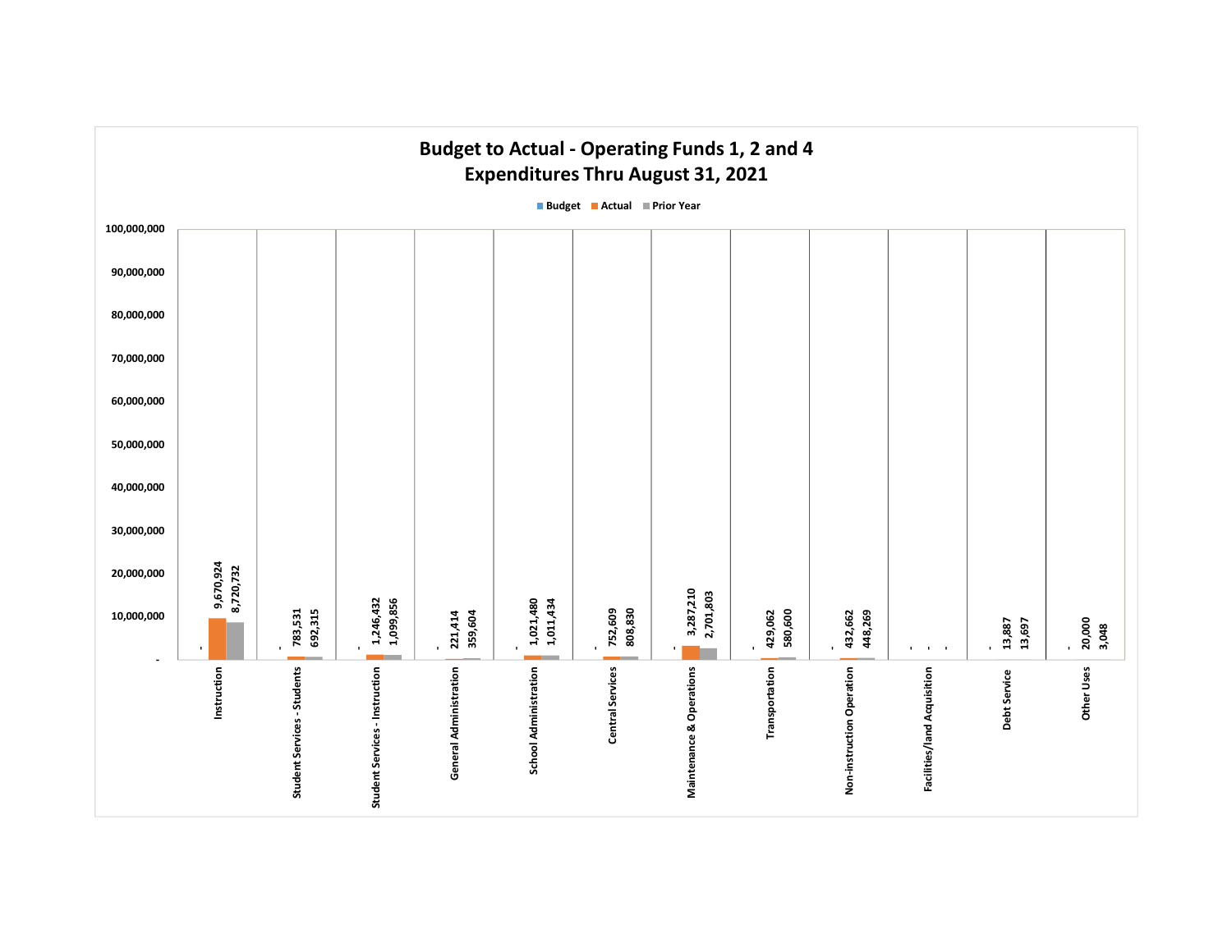